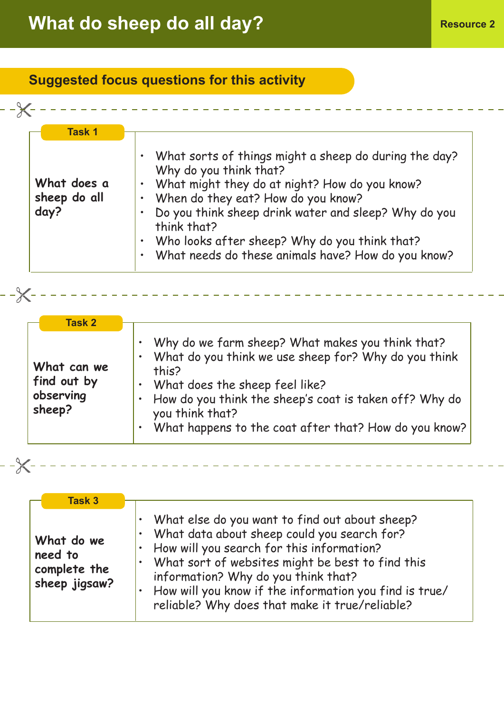## **What do sheep do all day? Resource 2**

## **Suggested focus questions for this activity**

| <b>Task 1</b> | What sorts of things might a sheep do during the day?               |
|---------------|---------------------------------------------------------------------|
|               | Why do you think that?                                              |
| What does a   | What might they do at night? How do you know?                       |
| sheep do all  | When do they eat? How do you know?                                  |
| day?          | Do you think sheep drink water and sleep? Why do you<br>think that? |
|               | Who looks after sheep? Why do you think that?                       |
|               | What needs do these animals have? How do you know?                  |

<u>\_\_\_\_\_\_\_\_\_\_\_\_\_\_\_\_\_</u>\_\_

| <b>Task 2</b>                                     |                                                                                                                                                                                                                                                                                                                                                            |
|---------------------------------------------------|------------------------------------------------------------------------------------------------------------------------------------------------------------------------------------------------------------------------------------------------------------------------------------------------------------------------------------------------------------|
| What can we<br>find out by<br>observing<br>sheep? | Why do we farm sheep? What makes you think that?<br>$\bullet$<br>What do you think we use sheep for? Why do you think<br>$\bullet$<br>this?<br>What does the sheep feel like?<br>$\bullet$<br>How do you think the sheep's coat is taken off? Why do<br>$\bullet$<br>you think that?<br>What happens to the coat after that? How do you know?<br>$\bullet$ |

| ٠<br>I<br>I |  |  |
|-------------|--|--|
|             |  |  |

 $-\times$ 

| <b>Task 3</b>                                          |                                                                                                                                                                                                                                                                                                                                                                |
|--------------------------------------------------------|----------------------------------------------------------------------------------------------------------------------------------------------------------------------------------------------------------------------------------------------------------------------------------------------------------------------------------------------------------------|
| What do we<br>need to<br>complete the<br>sheep jigsaw? | What else do you want to find out about sheep?<br>What data about sheep could you search for?<br>How will you search for this information?<br>What sort of websites might be best to find this<br>$\bullet$<br>information? Why do you think that?<br>How will you know if the information you find is true/<br>reliable? Why does that make it true/reliable? |

 $\omega = \omega/\omega$